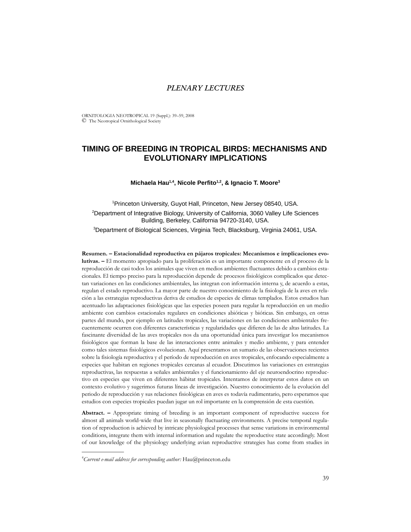# *PLENARY LECTURES*

ORNITOLOGIA NEOTROPICAL 19 (Suppl.): 39–59, 2008 © The Neotropical Ornithological Society

# **TIMING OF BREEDING IN TROPICAL BIRDS: MECHANISMS AND EVOLUTIONARY IMPLICATIONS**

### Michaela Hau<sup>1,4</sup>, Nicole Perfito<sup>1,2</sup>, & Ignacio T. Moore<sup>3</sup>

1 Princeton University, Guyot Hall, Princeton, New Jersey 08540, USA. <sup>2</sup>Department of Integrative Biology, University of California, 3060 Valley Life Sciences Building, Berkeley, California 94720-3140, USA. 3 Department of Biological Sciences, Virginia Tech, Blacksburg, Virginia 24061, USA.

**Resumen. – Estacionalidad reproductiva en pájaros tropicales: Mecanismos e implicaciones evolutivas. –** El momento apropiado para la proliferación es un importante componente en el proceso de la reproducción de casi todos los animales que viven en medios ambientes fluctuantes debido a cambios estacionales. El tiempo preciso para la reproducción depende de procesos fisiológicos complicados que detectan variaciones en las condiciones ambientales, las integran con información interna y, de acuerdo a estas, regulan el estado reproductivo. La mayor parte de nuestro conocimiento de la fisiología de la aves en relación a las estrategias reproductivas deriva de estudios de especies de climas templados. Estos estudios han acentuado las adaptaciones fisiológicas que las especies poseen para regular la reproducción en un medio ambiente con cambios estacionales regulares en condiciones abióticas y bióticas. Sin embargo, en otras partes del mundo, por ejemplo en latitudes tropicales, las variaciones en las condiciones ambientales frecuentemente ocurren con diferentes características y regularidades que difieren de las de altas latitudes. La fascinante diversidad de las aves tropicales nos da una oportunidad única para investigar los mecanismos fisiológicos que forman la base de las interacciones entre animales y medio ambiente, y para entender como tales sistemas fisiológicos evolucionan. Aquí presentamos un sumario de las observaciones recientes sobre la fisiología reproductiva y el período de reproducción en aves tropicales, enfocando especialmente a especies que habitan en regiones tropicales cercanas al ecuador. Discutimos las variaciones en estrategias reproductivas, las respuestas a señales ambientales y el funcionamiento del eje neuroendocrino reproductivo en especies que viven en diferentes hábitat tropicales. Intentamos de interpretar estos datos en un contexto evolutivo y sugerimos futuras líneas de investigación. Nuestro conocimiento de la evolución del periodo de reproducción y sus relaciones fisiológicas en aves es todavía rudimentario, pero esperamos que estudios con especies tropicales puedan jugar un rol importante en la comprensión de esta cuestión.

**Abstract. –** Appropriate timing of breeding is an important component of reproductive success for almost all animals world-wide that live in seasonally fluctuating environments. A precise temporal regulation of reproduction is achieved by intricate physiological processes that sense variations in environmental conditions, integrate them with internal information and regulate the reproductive state accordingly. Most of our knowledge of the physiology underlying avian reproductive strategies has come from studies in

\_\_\_\_\_\_\_\_\_\_\_\_\_\_

<sup>4</sup> *Current e-mail address for corresponding author:* Hau@princeton.edu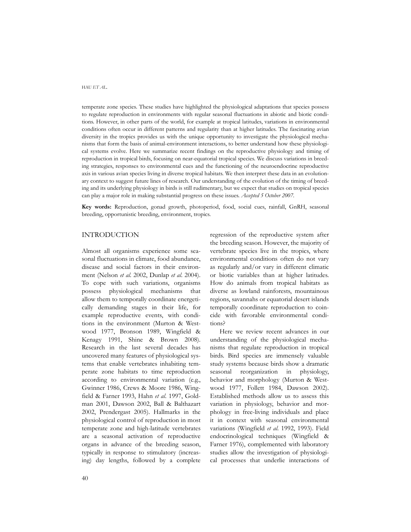temperate zone species. These studies have highlighted the physiological adaptations that species possess to regulate reproduction in environments with regular seasonal fluctuations in abiotic and biotic conditions. However, in other parts of the world, for example at tropical latitudes, variations in environmental conditions often occur in different patterns and regularity than at higher latitudes. The fascinating avian diversity in the tropics provides us with the unique opportunity to investigate the physiological mechanisms that form the basis of animal-environment interactions, to better understand how these physiological systems evolve. Here we summarize recent findings on the reproductive physiology and timing of reproduction in tropical birds, focusing on near-equatorial tropical species. We discuss variations in breeding strategies, responses to environmental cues and the functioning of the neuroendocrine reproductive axis in various avian species living in diverse tropical habitats. We then interpret these data in an evolutionary context to suggest future lines of research. Our understanding of the evolution of the timing of breeding and its underlying physiology in birds is still rudimentary, but we expect that studies on tropical species can play a major role in making substantial progress on these issues. *Accepted 5 October 2007.*

**Key words:** Reproduction, gonad growth, photoperiod, food, social cues, rainfall, GnRH, seasonal breeding, opportunistic breeding, environment, tropics.

### INTRODUCTION

Almost all organisms experience some seasonal fluctuations in climate, food abundance, disease and social factors in their environment (Nelson *et al*. 2002, Dunlap *et al*. 2004). To cope with such variations, organisms possess physiological mechanisms that allow them to temporally coordinate energetically demanding stages in their life, for example reproductive events, with conditions in the environment (Murton & Westwood 1977, Bronson 1989, Wingfield & Kenagy 1991, Shine & Brown 2008). Research in the last several decades has uncovered many features of physiological systems that enable vertebrates inhabiting temperate zone habitats to time reproduction according to environmental variation (e.g., Gwinner 1986, Crews & Moore 1986, Wingfield & Farner 1993, Hahn *et al*. 1997, Goldman 2001, Dawson 2002, Ball & Balthazart 2002, Prendergast 2005). Hallmarks in the physiological control of reproduction in most temperate zone and high-latitude vertebrates are a seasonal activation of reproductive organs in advance of the breeding season, typically in response to stimulatory (increasing) day lengths, followed by a complete regression of the reproductive system after the breeding season. However, the majority of vertebrate species live in the tropics, where environmental conditions often do not vary as regularly and/or vary in different climatic or biotic variables than at higher latitudes. How do animals from tropical habitats as diverse as lowland rainforests, mountainous regions, savannahs or equatorial desert islands temporally coordinate reproduction to coincide with favorable environmental conditions?

Here we review recent advances in our understanding of the physiological mechanisms that regulate reproduction in tropical birds. Bird species are immensely valuable study systems because birds show a dramatic seasonal reorganization in physiology, behavior and morphology (Murton & Westwood 1977, Follett 1984, Dawson 2002). Established methods allow us to assess this variation in physiology, behavior and morphology in free-living individuals and place it in context with seasonal environmental variations (Wingfield *et al*. 1992, 1993). Field endocrinological techniques (Wingfield & Farner 1976), complemented with laboratory studies allow the investigation of physiological processes that underlie interactions of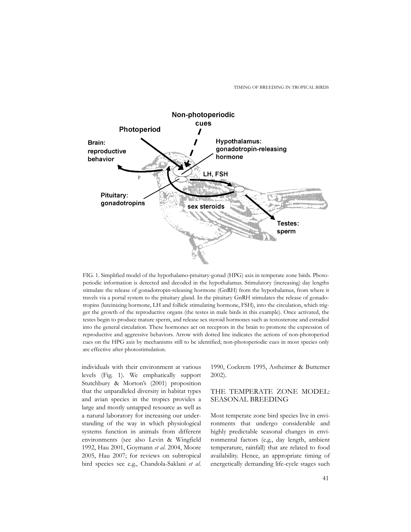TIMING OF BREEDING IN TROPICAL BIRDS



FIG. 1. Simplified model of the hypothalamo-pituitary-gonad (HPG) axis in temperate zone birds. Photoperiodic information is detected and decoded in the hypothalamus. Stimulatory (increasing) day lengths stimulate the release of gonadotropin-releasing hormone (GnRH) from the hypothalamus, from where it travels via a portal system to the pituitary gland. In the pituitary GnRH stimulates the release of gonadotropins (luteinizing hormone, LH and follicle stimulating hormone, FSH), into the circulation, which trigger the growth of the reproductive organs (the testes in male birds in this example). Once activated, the testes begin to produce mature sperm, and release sex steroid hormones such as testosterone and estradiol into the general circulation. These hormones act on receptors in the brain to promote the expression of reproductive and aggressive behaviors. Arrow with dotted line indicates the actions of non-photoperiod cues on the HPG axis by mechanisms still to be identified; non-photoperiodic cues in most species only are effective after photostimulation.

individuals with their environment at various levels (Fig. 1). We emphatically support Stutchbury & Morton's (2001) proposition that the unparalleled diversity in habitat types and avian species in the tropics provides a large and mostly untapped resource as well as a natural laboratory for increasing our understanding of the way in which physiological systems function in animals from different environments (see also Levin & Wingfield 1992, Hau 2001, Goymann *et al*. 2004, Moore 2005, Hau 2007; for reviews on subtropical bird species see e.g., Chandola-Saklani *et al*. 1990, Cockrem 1995, Astheimer & Buttemer 2002).

### THE TEMPERATE ZONE MODEL: SEASONAL BREEDING

Most temperate zone bird species live in environments that undergo considerable and highly predictable seasonal changes in environmental factors (e.g., day length, ambient temperature, rainfall) that are related to food availability. Hence, an appropriate timing of energetically demanding life-cycle stages such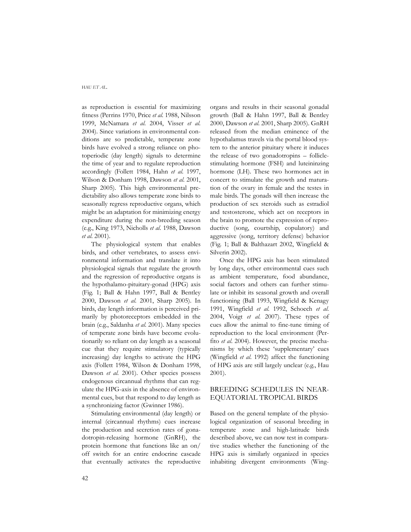as reproduction is essential for maximizing fitness (Perrins 1970, Price *et al*. 1988, Nilsson 1999, McNamara *et al*. 2004, Visser *et al*. 2004). Since variations in environmental conditions are so predictable, temperate zone birds have evolved a strong reliance on photoperiodic (day length) signals to determine the time of year and to regulate reproduction accordingly (Follett 1984, Hahn *et al*. 1997, Wilson & Donham 1998, Dawson *et al*. 2001, Sharp 2005). This high environmental predictability also allows temperate zone birds to seasonally regress reproductive organs, which might be an adaptation for minimizing energy expenditure during the non-breeding season (e.g., King 1973, Nicholls *et al*. 1988, Dawson *et al*. 2001).

The physiological system that enables birds, and other vertebrates, to assess environmental information and translate it into physiological signals that regulate the growth and the regression of reproductive organs is the hypothalamo-pituitary-gonad (HPG) axis (Fig. 1; Ball & Hahn 1997, Ball & Bentley 2000, Dawson *et al*. 2001, Sharp 2005). In birds, day length information is perceived primarily by photoreceptors embedded in the brain (e.g., Saldanha *et al*. 2001). Many species of temperate zone birds have become evolutionarily so reliant on day length as a seasonal cue that they require stimulatory (typically increasing) day lengths to activate the HPG axis (Follett 1984, Wilson & Donham 1998, Dawson *et al*. 2001). Other species possess endogenous circannual rhythms that can regulate the HPG-axis in the absence of environmental cues, but that respond to day length as a synchronizing factor (Gwinner 1986).

Stimulating environmental (day length) or internal (circannual rhythms) cues increase the production and secretion rates of gonadotropin-releasing hormone (GnRH), the protein hormone that functions like an on/ off switch for an entire endocrine cascade that eventually activates the reproductive

organs and results in their seasonal gonadal growth (Ball & Hahn 1997, Ball & Bentley 2000, Dawson *et al*. 2001, Sharp 2005). GnRH released from the median eminence of the hypothalamus travels via the portal blood system to the anterior pituitary where it induces the release of two gonadotropins – folliclestimulating hormone (FSH) and luteininzing hormone (LH). These two hormones act in concert to stimulate the growth and maturation of the ovary in female and the testes in male birds. The gonads will then increase the production of sex steroids such as estradiol and testosterone, which act on receptors in the brain to promote the expression of reproductive (song, courtship, copulatory) and aggressive (song, territory defense) behavior (Fig. 1; Ball & Balthazart 2002, Wingfield & Silverin 2002).

Once the HPG axis has been stimulated by long days, other environmental cues such as ambient temperature, food abundance, social factors and others can further stimulate or inhibit its seasonal growth and overall functioning (Ball 1993, Wingfield & Kenagy 1991, Wingfield *et al*. 1992, Schoech *et al*. 2004, Voigt *et al*. 2007). These types of cues allow the animal to fine-tune timing of reproduction to the local environment (Perfito *et al*. 2004). However, the precise mechanisms by which these 'supplementary' cues (Wingfield *et al*. 1992) affect the functioning of HPG axis are still largely unclear (e.g., Hau 2001).

# BREEDING SCHEDULES IN NEAR-EQUATORIAL TROPICAL BIRDS

Based on the general template of the physiological organization of seasonal breeding in temperate zone and high-latitude birds described above, we can now test in comparative studies whether the functioning of the HPG axis is similarly organized in species inhabiting divergent environments (Wing-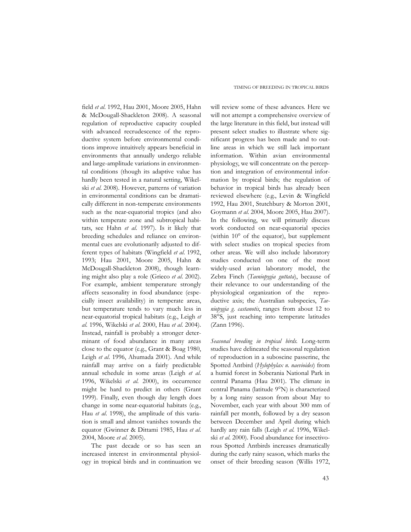field *et al*. 1992, Hau 2001, Moore 2005, Hahn & McDougall-Shackleton 2008). A seasonal regulation of reproductive capacity coupled with advanced recrudescence of the reproductive system before environmental conditions improve intuitively appears beneficial in environments that annually undergo reliable and large-amplitude variations in environmental conditions (though its adaptive value has hardly been tested in a natural setting, Wikelski *et al*. 2008). However, patterns of variation in environmental conditions can be dramatically different in non-temperate environments such as the near-equatorial tropics (and also within temperate zone and subtropical habitats, see Hahn *et al*. 1997). Is it likely that breeding schedules and reliance on environmental cues are evolutionarily adjusted to different types of habitats (Wingfield *et al*. 1992, 1993; Hau 2001, Moore 2005, Hahn & McDougall-Shackleton 2008), though learning might also play a role (Grieco *et al*. 2002). For example, ambient temperature strongly affects seasonality in food abundance (especially insect availability) in temperate areas, but temperature tends to vary much less in near-equatorial tropical habitats (e.g., Leigh *et al*. 1996, Wikelski *et al*. 2000, Hau *et al*. 2004). Instead, rainfall is probably a stronger determinant of food abundance in many areas close to the equator (e.g., Grant & Boag 1980, Leigh *et al*. 1996, Ahumada 2001). And while rainfall may arrive on a fairly predictable annual schedule in some areas (Leigh *et al*. 1996, Wikelski *et al*. 2000), its occurrence might be hard to predict in others (Grant 1999). Finally, even though day length does change in some near-equatorial habitats (e.g., Hau *et al*. 1998), the amplitude of this variation is small and almost vanishes towards the equator (Gwinner & Dittami 1985, Hau *et al*. 2004, Moore *et al*. 2005).

The past decade or so has seen an increased interest in environmental physiology in tropical birds and in continuation we

will review some of these advances. Here we will not attempt a comprehensive overview of the large literature in this field, but instead will present select studies to illustrate where significant progress has been made and to outline areas in which we still lack important information. Within avian environmental physiology, we will concentrate on the perception and integration of environmental information by tropical birds; the regulation of behavior in tropical birds has already been reviewed elsewhere (e.g., Levin & Wingfield 1992, Hau 2001, Stutchbury & Morton 2001, Goymann *et al*. 2004, Moore 2005, Hau 2007). In the following, we will primarily discuss work conducted on near-equatorial species (within 10° of the equator), but supplement with select studies on tropical species from other areas. We will also include laboratory studies conducted on one of the most widely-used avian laboratory model, the Zebra Finch (*Taeniopygia guttata*), because of their relevance to our understanding of the physiological organization of the reproductive axis; the Australian subspecies, *Taeniopygia g. castanotis*, ranges from about 12 to 38°S, just reaching into temperate latitudes (Zann 1996).

*Seasonal breeding in tropical birds.* Long-term studies have delineated the seasonal regulation of reproduction in a suboscine passerine, the Spotted Antbird (*Hylophylax n. naevioides*) from a humid forest in Soberania National Park in central Panama (Hau 2001). The climate in central Panama (latitude 9°N) is characterized by a long rainy season from about May to November, each year with about 300 mm of rainfall per month, followed by a dry season between December and April during which hardly any rain falls (Leigh *et al*. 1996, Wikelski *et al*. 2000). Food abundance for insectivorous Spotted Antbirds increases dramatically during the early rainy season, which marks the onset of their breeding season (Willis 1972,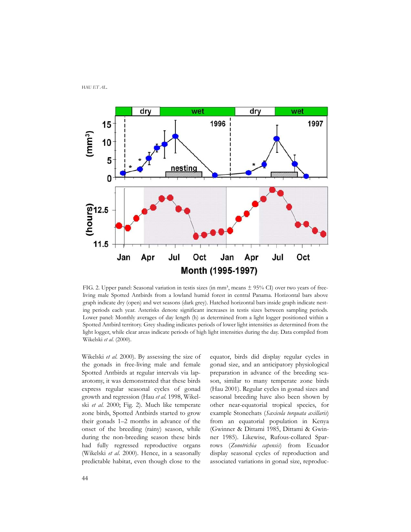

FIG. 2. Upper panel: Seasonal variation in testis sizes (in mm<sup>3</sup>, means  $\pm$  95% CI) over two years of freeliving male Spotted Antbirds from a lowland humid forest in central Panama. Horizontal bars above graph indicate dry (open) and wet seasons (dark grey). Hatched horizontal bars inside graph indicate nesting periods each year. Asterisks denote significant increases in testis sizes between sampling periods. Lower panel: Monthly averages of day length (h) as determined from a light logger positioned within a Spotted Antbird territory. Grey shading indicates periods of lower light intensities as determined from the light logger, while clear areas indicate periods of high light intensities during the day. Data compiled from Wikelski *et al*. (2000).

Wikelski *et al*. 2000). By assessing the size of the gonads in free-living male and female Spotted Antbirds at regular intervals via laparotomy, it was demonstrated that these birds express regular seasonal cycles of gonad growth and regression (Hau *et al*. 1998, Wikelski *et al*. 2000; Fig. 2). Much like temperate zone birds, Spotted Antbirds started to grow their gonads 1–2 months in advance of the onset of the breeding (rainy) season, while during the non-breeding season these birds had fully regressed reproductive organs (Wikelski *et al*. 2000). Hence, in a seasonally predictable habitat, even though close to the equator, birds did display regular cycles in gonad size, and an anticipatory physiological preparation in advance of the breeding season, similar to many temperate zone birds (Hau 2001). Regular cycles in gonad sizes and seasonal breeding have also been shown by other near-equatorial tropical species, for example Stonechats (*Saxicola torquata axillaris*) from an equatorial population in Kenya (Gwinner & Dittami 1985, Dittami & Gwinner 1985). Likewise, Rufous-collared Sparrows (*Zonotrichia capensis*) from Ecuador display seasonal cycles of reproduction and associated variations in gonad size, reproduc-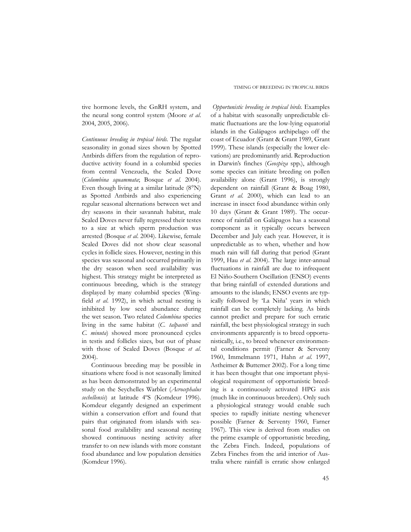tive hormone levels, the GnRH system, and the neural song control system (Moore *et al*. 2004, 2005, 2006).

*Continuous breeding in tropical birds.* The regular seasonality in gonad sizes shown by Spotted Antbirds differs from the regulation of reproductive activity found in a columbid species from central Venezuela, the Scaled Dove (*Columbina squammata*; Bosque *et al*. 2004). Even though living at a similar latitude (8°N) as Spotted Antbirds and also experiencing regular seasonal alternations between wet and dry seasons in their savannah habitat, male Scaled Doves never fully regressed their testes to a size at which sperm production was arrested (Bosque *et al*. 2004). Likewise, female Scaled Doves did not show clear seasonal cycles in follicle sizes. However, nesting in this species was seasonal and occurred primarily in the dry season when seed availability was highest. This strategy might be interpreted as continuous breeding, which is the strategy displayed by many columbid species (Wingfield *et al*. 1992), in which actual nesting is inhibited by low seed abundance during the wet season. Two related *Columbina* species living in the same habitat (*C. talpacoti* and *C. minuta*) showed more pronounced cycles in testis and follicles sizes, but out of phase with those of Scaled Doves (Bosque *et al*. 2004).

Continuous breeding may be possible in situations where food is not seasonally limited as has been demonstrated by an experimental study on the Seychelles Warbler (*Acrocephalus sechellensis*) at latitude 4ºS (Komdeur 1996). Komdeur elegantly designed an experiment within a conservation effort and found that pairs that originated from islands with seasonal food availability and seasonal nesting showed continuous nesting activity after transfer to on new islands with more constant food abundance and low population densities (Komdeur 1996).

*Opportunistic breeding in tropical birds.* Examples of a habitat with seasonally unpredictable climatic fluctuations are the low-lying equatorial islands in the Galápagos archipelago off the coast of Ecuador (Grant & Grant 1989, Grant 1999). These islands (especially the lower elevations) are predominantly arid. Reproduction in Darwin's finches (*Geospiza* spp.), although some species can initiate breeding on pollen availability alone (Grant 1996), is strongly dependent on rainfall (Grant & Boag 1980, Grant *et al*. 2000), which can lead to an increase in insect food abundance within only 10 days (Grant & Grant 1989). The occurrence of rainfall on Galápagos has a seasonal component as it typically occurs between December and July each year. However, it is unpredictable as to when, whether and how much rain will fall during that period (Grant 1999, Hau *et al*. 2004). The large inter-annual fluctuations in rainfall are due to infrequent El Niño-Southern Oscillation (ENSO) events that bring rainfall of extended durations and amounts to the islands; ENSO events are typically followed by 'La Niña' years in which rainfall can be completely lacking. As birds cannot predict and prepare for such erratic rainfall, the best physiological strategy in such environments apparently is to breed opportunistically, i.e., to breed whenever environmental conditions permit (Farner & Serventy 1960, Immelmann 1971, Hahn *et al*. 1997, Astheimer & Buttemer 2002). For a long time it has been thought that one important physiological requirement of opportunistic breeding is a continuously activated HPG axis (much like in continuous breeders). Only such a physiological strategy would enable such species to rapidly initiate nesting whenever possible (Farner & Serventy 1960, Farner 1967). This view is derived from studies on the prime example of opportunistic breeding, the Zebra Finch. Indeed, populations of Zebra Finches from the arid interior of Australia where rainfall is erratic show enlarged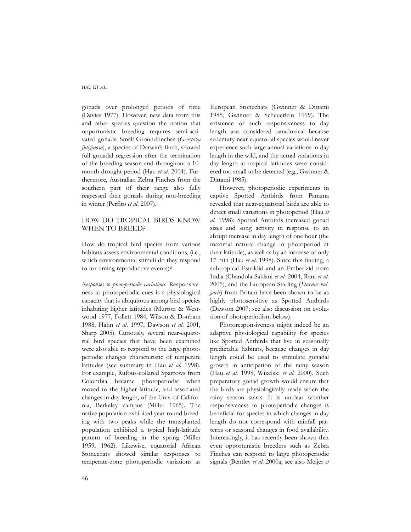gonads over prolonged periods of time (Davies 1977). However, new data from this and other species question the notion that opportunistic breeding requires semi-activated gonads. Small Groundfinches (*Geospiza fuliginosa*), a species of Darwin's finch, showed full gonadal regression after the termination of the breeding season and throughout a 10 month drought period (Hau *et al*. 2004). Furthermore, Australian Zebra Finches from the southern part of their range also fully regressed their gonads during non-breeding in winter (Perfito *et al*. 2007).

### HOW DO TROPICAL BIRDS KNOW WHEN TO BREED?

How do tropical bird species from various habitats assess environmental conditions, (i.e., which environmental stimuli do they respond to for timing reproductive events)?

*Responses to photoperiodic variations.* Responsiveness to photoperiodic cues is a physiological capacity that is ubiquitous among bird species inhabiting higher latitudes (Murton & Westwood 1977, Follett 1984, Wilson & Donham 1988, Hahn *et al*. 1997, Dawson *et al*. 2001, Sharp 2005). Curiously, several near-equatorial bird species that have been examined were also able to respond to the large photoperiodic changes characteristic of temperate latitudes (see summary in Hau *et al.* 1998). For example, Rufous-collared Sparrows from Colombia became photoperiodic when moved to the higher latitude, and associated changes in day length, of the Univ. of California, Berkeley campus (Miller 1965). The native population exhibited year-round breeding with two peaks while the transplanted population exhibited a typical high-latitude pattern of breeding in the spring (Miller 1959, 1962). Likewise, equatorial African Stonechats showed similar responses to temperate-zone photoperiodic variations as

European Stonechats (Gwinner & Dittami 1985, Gwinner & Scheuerlein 1999). The existence of such responsiveness to day length was considered paradoxical because sedentary near-equatorial species would never experience such large annual variations in day length in the wild, and the actual variations in day length at tropical latitudes were considered too small to be detected (e.g., Gwinner & Dittami 1985).

However, photoperiodic experiments in captive Spotted Antbirds from Panama revealed that near-equatorial birds are able to detect small variations in photoperiod (Hau *et al*. 1998): Spotted Antbirds increased gonad sizes and song activity in response to an abrupt increase in day length of one hour (the maximal natural change in photoperiod at their latitude), as well as by an increase of only 17 min (Hau *et al*. 1998). Since this finding, a subtropical Estrildid and an Emberizid from India (Chandola-Saklani *et al*. 2004, Rani *et al*. 2005), and the European Starling (*Sturnus vulgaris*) from Britain have been shown to be as highly photosensitive as Spotted Antbirds (Dawson 2007; see also discussion on evolution of photoperiodism below).

Photoresponsiveness might indeed be an adaptive physiological capability for species like Spotted Antbirds that live in seasonally predictable habitats, because changes in day length could be used to stimulate gonadal growth in anticipation of the rainy season (Hau *et al*. 1998, Wikelski *et al*. 2000). Such preparatory gonad growth would ensure that the birds are physiologically ready when the rainy season starts. It is unclear whether responsiveness to photoperiodic changes is beneficial for species in which changes in day length do not correspond with rainfall patterns or seasonal changes in food availability. Interestingly, it has recently been shown that even opportunistic breeders such as Zebra Finches can respond to large photoperiodic signals (Bentley *et al*. 2000a; see also Meijer *et*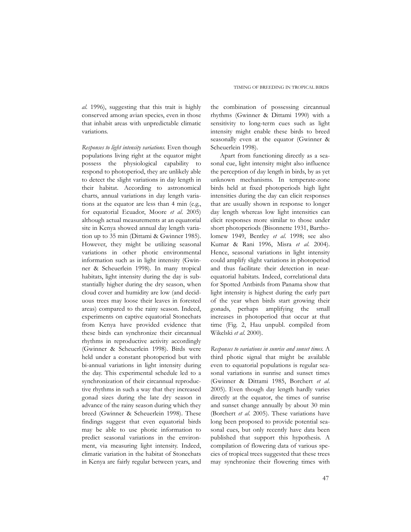*al*. 1996), suggesting that this trait is highly conserved among avian species, even in those that inhabit areas with unpredictable climatic variations.

*Responses to light intensity variations.* Even though populations living right at the equator might possess the physiological capability to respond to photoperiod, they are unlikely able to detect the slight variations in day length in their habitat. According to astronomical charts, annual variations in day length variations at the equator are less than 4 min (e.g., for equatorial Ecuador, Moore *et al*. 2005) although actual measurements at an equatorial site in Kenya showed annual day length variation up to 35 min (Dittami & Gwinner 1985). However, they might be utilizing seasonal variations in other photic environmental information such as in light intensity (Gwinner & Scheuerlein 1998). In many tropical habitats, light intensity during the day is substantially higher during the dry season, when cloud cover and humidity are low (and deciduous trees may loose their leaves in forested areas) compared to the rainy season. Indeed, experiments on captive equatorial Stonechats from Kenya have provided evidence that these birds can synchronize their circannual rhythms in reproductive activity accordingly (Gwinner & Scheuerlein 1998). Birds were held under a constant photoperiod but with bi-annual variations in light intensity during the day. This experimental schedule led to a synchronization of their circannual reproductive rhythms in such a way that they increased gonad sizes during the late dry season in advance of the rainy season during which they breed (Gwinner & Scheuerlein 1998). These findings suggest that even equatorial birds may be able to use photic information to predict seasonal variations in the environment, via measuring light intensity. Indeed, climatic variation in the habitat of Stonechats in Kenya are fairly regular between years, and

the combination of possessing circannual rhythms (Gwinner & Dittami 1990) with a sensitivity to long-term cues such as light intensity might enable these birds to breed seasonally even at the equator (Gwinner & Scheuerlein 1998).

Apart from functioning directly as a seasonal cue, light intensity might also influence the perception of day length in birds, by as yet unknown mechanisms. In temperate-zone birds held at fixed photoperiods high light intensities during the day can elicit responses that are usually shown in response to longer day length whereas low light intensities can elicit responses more similar to those under short photoperiods (Bisonnette 1931, Bartholomew 1949, Bentley *et al*. 1998; see also Kumar & Rani 1996, Misra *et al*. 2004). Hence, seasonal variations in light intensity could amplify slight variations in photoperiod and thus facilitate their detection in nearequatorial habitats. Indeed, correlational data for Spotted Antbirds from Panama show that light intensity is highest during the early part of the year when birds start growing their gonads, perhaps amplifying the small increases in photoperiod that occur at that time (Fig. 2, Hau unpubl. compiled from Wikelski *et al*. 2000).

*Responses to variations in sunrise and sunset times.* A third photic signal that might be available even to equatorial populations is regular seasonal variations in sunrise and sunset times (Gwinner & Dittami 1985, Borchert *et al*. 2005). Even though day length hardly varies directly at the equator, the times of sunrise and sunset change annually by about 30 min (Borchert *et al*. 2005). These variations have long been proposed to provide potential seasonal cues, but only recently have data been published that support this hypothesis. A compilation of flowering data of various species of tropical trees suggested that these trees may synchronize their flowering times with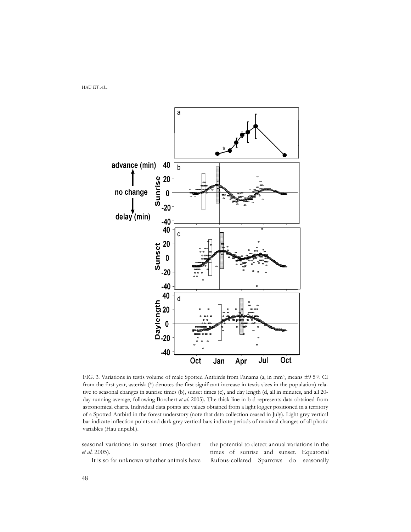

FIG. 3. Variations in testis volume of male Spotted Antbirds from Panama (a, in mm<sup>3</sup>, means ±9 5% CI from the first year, asterisk (\*) denotes the first significant increase in testis sizes in the population) relative to seasonal changes in sunrise times (b), sunset times (c), and day length (d, all in minutes, and all 20 day running average, following Borchert *et al*. 2005). The thick line in b-d represents data obtained from astronomical charts. Individual data points are values obtained from a light logger positioned in a territory of a Spotted Antbird in the forest understory (note that data collection ceased in July). Light grey vertical bar indicate inflection points and dark grey vertical bars indicate periods of maximal changes of all photic variables (Hau unpubl.).

seasonal variations in sunset times (Borchert *et al*. 2005).

It is so far unknown whether animals have

the potential to detect annual variations in the times of sunrise and sunset. Equatorial Rufous-collared Sparrows do seasonally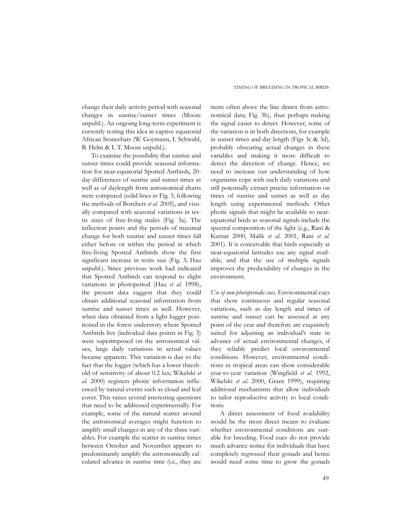change their daily activity period with seasonal changes in sunrise/sunset times (Moore unpubl.). An ongoing long-term experiment is currently testing this idea in captive equatorial African Stonechats (W. Goymann, I. Schwabl, B. Helm & I. T. Moore unpubl.).

To examine the possibility that sunrise and sunset times could provide seasonal information for near-equatorial Spotted Antbirds, 20 day differences of sunrise and sunset times as well as of daylength from astronomical charts were computed (solid lines in Fig. 3, following the methods of Borchert *et al*. 2005), and visually compared with seasonal variations in testis sizes of free-living males (Fig. 3a). The inflection points and the periods of maximal change for both sunrise and sunset times fall either before or within the period in which free-living Spotted Antbirds show the first significant increase in testis size (Fig. 3; Hau unpubl.). Since previous work had indicated that Spotted Antbirds can respond to slight variations in photoperiod (Hau *et al*. 1998), the present data suggest that they could obtain additional seasonal information from sunrise and sunset times as well. However, when data obtained from a light logger positioned in the forest understory where Spotted Antbirds live (individual data points in Fig. 3) were superimposed on the astronomical values, large daily variations in actual values became apparent. This variation is due to the fact that the logger (which has a lower threshold of sensitivity of about 0.2 lux; Wikelski *et al*. 2000) registers photic information influenced by natural events such as cloud and leaf cover. This raises several interesting questions that need to be addressed experimentally. For example, some of the natural scatter around the astronomical averages might function to amplify small changes in any of the three variables. For example the scatter in sunrise times between October and November appears to predominantly amplify the astronomically calculated advance in sunrise time (i.e., they are more often above the line drawn from astronomical data; Fig. 3b), thus perhaps making the signal easier to detect. However, some of the variation is in both directions, for example in sunset times and day length (Figs 3c & 3d), probably obscuring actual changes in these variables and making it more difficult to detect the direction of change. Hence, we need to increase our understanding of how organisms cope with such daily variations and still potentially extract precise information on times of sunrise and sunset as well as day length using experimental methods. Other photic signals that might be available to nearequatorial birds as seasonal signals include the spectral composition of the light (e.g., Rani & Kumar 2000, Malik *et al*. 2001, Rani *et al*. 2001). It is conceivable that birds especially at near-equatorial latitudes use any signal available, and that the use of multiple signals improves the predictability of changes in the environment.

*Use of non-photoperiodic cues.* Environmental cues that show continuous and regular seasonal variations, such as day length and times of sunrise and sunset can be assessed at any point of the year and therefore are exquisitely suited for adjusting an individual's state in advance of actual environmental changes, if they reliably predict local environmental conditions. However, environmental conditions in tropical areas can show considerable year-to-year variation (Wingfield *et al*. 1992, Wikelski *et al*. 2000, Grant 1999), requiring additional mechanisms that allow individuals to tailor reproductive activity to local conditions.

A direct assessment of food availability would be the most direct means to evaluate whether environmental conditions are suitable for breeding. Food cues do not provide much advance notice for individuals that have completely regressed their gonads and hence would need some time to grow the gonads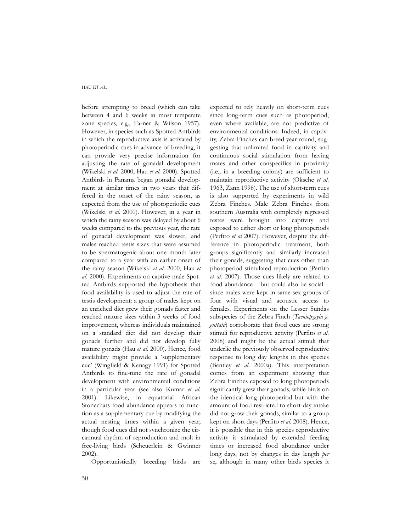before attempting to breed (which can take between 4 and 6 weeks in most temperate zone species, e.g., Farner & Wilson 1957). However, in species such as Spotted Antbirds in which the reproductive axis is activated by photoperiodic cues in advance of breeding, it can provide very precise information for adjusting the rate of gonadal development (Wikelski *et al*. 2000, Hau *et al*. 2000). Spotted Antbirds in Panama began gonadal development at similar times in two years that differed in the onset of the rainy season, as expected from the use of photoperiodic cues (Wikelski *et al*. 2000). However, in a year in which the rainy season was delayed by about 6 weeks compared to the previous year, the rate of gonadal development was slower, and males reached testis sizes that were assumed to be spermatogenic about one month later compared to a year with an earlier onset of the rainy season (Wikelski *et al*. 2000, Hau *et al*. 2000). Experiments on captive male Spotted Antbirds supported the hypothesis that food availability is used to adjust the rate of testis development: a group of males kept on an enriched diet grew their gonads faster and reached mature sizes within 3 weeks of food improvement, whereas individuals maintained on a standard diet did not develop their gonads further and did not develop fully mature gonads (Hau *et al*. 2000). Hence, food availability might provide a 'supplementary cue' (Wingfield & Kenagy 1991) for Spotted Antbirds to fine-tune the rate of gonadal development with environmental conditions in a particular year (see also Kumar *et al*. 2001). Likewise, in equatorial African Stonechats food abundance appears to function as a supplementary cue by modifying the actual nesting times within a given year; though food cues did not synchronize the circannual rhythm of reproduction and molt in free-living birds (Scheuerlein & Gwinner 2002).

Opportunistically breeding birds are

expected to rely heavily on short-term cues since long-term cues such as photoperiod, even where available, are not predictive of environmental conditions. Indeed, in captivity, Zebra Finches can breed year-round, suggesting that unlimited food in captivity and continuous social stimulation from having mates and other conspecifics in proximity (i.e., in a breeding colony) are sufficient to maintain reproductive activity (Oksche *et al*. 1963, Zann 1996). The use of short-term cues is also supported by experiments in wild Zebra Finches. Male Zebra Finches from southern Australia with completely regressed testes were brought into captivity and exposed to either short or long photoperiods (Perfito *et al* 2007). However, despite the difference in photoperiodic treatment, both groups significantly and similarly increased their gonads, suggesting that cues other than photoperiod stimulated reproduction (Perfito *et al*. 2007). Those cues likely are related to food abundance – but could also be social – since males were kept in same-sex groups of four with visual and acoustic access to females. Experiments on the Lesser Sundas subspecies of the Zebra Finch (*Taeniopygyia g. guttata*) corroborate that food cues are strong stimuli for reproductive activity (Perfito *et al*. 2008) and might be the actual stimuli that underlie the previously observed reproductive response to long day lengths in this species (Bentley *et al*. 2000a). This interpretation comes from an experiment showing that Zebra Finches exposed to long photoperiods significantly grew their gonads, while birds on the identical long photoperiod but with the amount of food restricted to short-day intake did not grow their gonads, similar to a group kept on short days (Perfito *et al*. 2008). Hence, it is possible that in this species reproductive activity is stimulated by extended feeding times or increased food abundance under long days, not by changes in day length *per* se, although in many other birds species it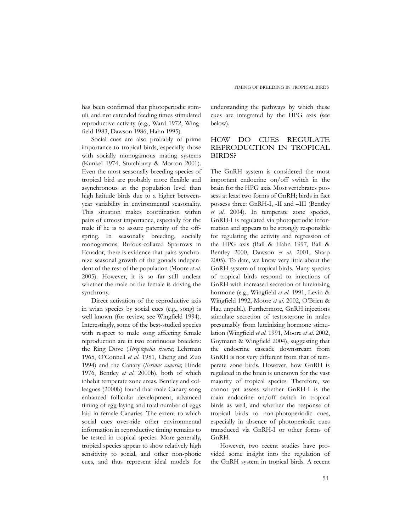has been confirmed that photoperiodic stimuli, and not extended feeding times stimulated reproductive activity (e.g., Ward 1972, Wingfield 1983, Dawson 1986, Hahn 1995).

Social cues are also probably of prime importance to tropical birds, especially those with socially monogamous mating systems (Kunkel 1974, Stutchbury & Morton 2001). Even the most seasonally breeding species of tropical bird are probably more flexible and asynchronous at the population level than high latitude birds due to a higher betweenyear variability in environmental seasonality. This situation makes coordination within pairs of utmost importance, especially for the male if he is to assure paternity of the offspring. In seasonally breeding, socially monogamous, Rufous-collared Sparrows in Ecuador, there is evidence that pairs synchronize seasonal growth of the gonads independent of the rest of the population (Moore *et al*. 2005). However, it is so far still unclear whether the male or the female is driving the synchrony.

Direct activation of the reproductive axis in avian species by social cues (e.g., song) is well known (for review, see Wingfield 1994). Interestingly, some of the best-studied species with respect to male song affecting female reproduction are in two continuous breeders: the Ring Dove (*Streptopelia risoria*; Lehrman 1965, O'Connell *et al*. 1981, Cheng and Zuo 1994) and the Canary (*Serinus canaria*; Hinde 1976, Bentley *et al*. 2000b), both of which inhabit temperate zone areas. Bentley and colleagues (2000b) found that male Canary song enhanced follicular development, advanced timing of egg-laying and total number of eggs laid in female Canaries. The extent to which social cues over-ride other environmental information in reproductive timing remains to be tested in tropical species. More generally, tropical species appear to show relatively high sensitivity to social, and other non-photic cues, and thus represent ideal models for

understanding the pathways by which these cues are integrated by the HPG axis (see below).

# HOW DO CUES REGULATE REPRODUCTION IN TROPICAL BIRDS?

The GnRH system is considered the most important endocrine on/off switch in the brain for the HPG axis. Most vertebrates possess at least two forms of GnRH; birds in fact possess three: GnRH-I, -II and –III (Bentley *et al*. 2004). In temperate zone species, GnRH-I is regulated via photoperiodic information and appears to be strongly responsible for regulating the activity and regression of the HPG axis (Ball & Hahn 1997, Ball & Bentley 2000, Dawson *et al*. 2001, Sharp 2005). To date, we know very little about the GnRH system of tropical birds. Many species of tropical birds respond to injections of GnRH with increased secretion of luteinizing hormone (e.g., Wingfield *et al*. 1991, Levin & Wingfield 1992, Moore *et al*. 2002, O'Brien & Hau unpubl.). Furthermore, GnRH injections stimulate secretion of testosterone in males presumably from luteinizing hormone stimulation (Wingfield *et al*. 1991, Moore *et al*. 2002, Goymann & Wingfield 2004), suggesting that the endocrine cascade downstream from GnRH is not very different from that of temperate zone birds. However, how GnRH is regulated in the brain is unknown for the vast majority of tropical species. Therefore, we cannot yet assess whether GnRH-I is the main endocrine on/off switch in tropical birds as well, and whether the response of tropical birds to non-photoperiodic cues, especially in absence of photoperiodic cues transduced via GnRH-I or other forms of GnRH.

However, two recent studies have provided some insight into the regulation of the GnRH system in tropical birds. A recent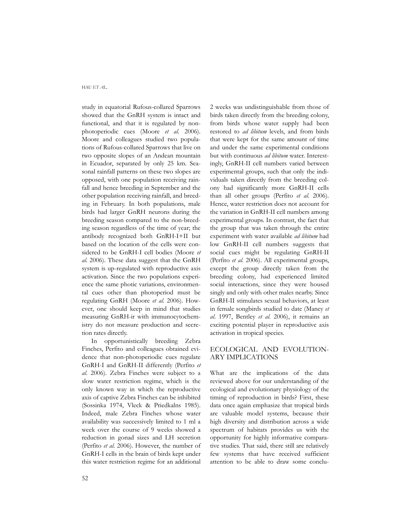study in equatorial Rufous-collared Sparrows showed that the GnRH system is intact and functional, and that it is regulated by nonphotoperiodic cues (Moore *et al*. 2006). Moore and colleagues studied two populations of Rufous-collared Sparrows that live on two opposite slopes of an Andean mountain in Ecuador, separated by only 25 km. Seasonal rainfall patterns on these two slopes are opposed, with one population receiving rainfall and hence breeding in September and the other population receiving rainfall, and breeding in February. In both populations, male birds had larger GnRH neurons during the breeding season compared to the non-breeding season regardless of the time of year; the antibody recognized both GnRH-I+II but based on the location of the cells were considered to be GnRH-I cell bodies (Moore *et al*. 2006). These data suggest that the GnRH system is up-regulated with reproductive axis activation. Since the two populations experience the same photic variations, environmental cues other than photoperiod must be regulating GnRH (Moore *et al*. 2006). However, one should keep in mind that studies measuring GnRH-ir with immunocytochemistry do not measure production and secretion rates directly.

In opportunistically breeding Zebra Finches, Perfito and colleagues obtained evidence that non-photoperiodic cues regulate GnRH-I and GnRH-II differently (Perfito *et al*. 2006). Zebra Finches were subject to a slow water restriction regime, which is the only known way in which the reproductive axis of captive Zebra Finches can be inhibited (Sossinka 1974, Vleck & Priedkalns 1985). Indeed, male Zebra Finches whose water availability was successively limited to 1 ml a week over the course of 9 weeks showed a reduction in gonad sizes and LH secretion (Perfito *et al*. 2006). However, the number of GnRH-I cells in the brain of birds kept under this water restriction regime for an additional

2 weeks was undistinguishable from those of birds taken directly from the breeding colony, from birds whose water supply had been restored to *ad libitum* levels, and from birds that were kept for the same amount of time and under the same experimental conditions but with continuous *ad libitum* water. Interestingly, GnRH-II cell numbers varied between experimental groups, such that only the individuals taken directly from the breeding colony had significantly more GnRH-II cells than all other groups (Perfito *et al*. 2006). Hence, water restriction does not account for the variation in GnRH-II cell numbers among experimental groups. In contrast, the fact that the group that was taken through the entire experiment with water available *ad libitum* had low GnRH-II cell numbers suggests that social cues might be regulating GnRH-II (Perfito *et al*. 2006). All experimental groups, except the group directly taken from the breeding colony, had experienced limited social interactions, since they were housed singly and only with other males nearby. Since GnRH-II stimulates sexual behaviors, at least in female songbirds studied to date (Maney *et al*. 1997, Bentley *et al*. 2006), it remains an exciting potential player in reproductive axis activation in tropical species.

## ECOLOGICAL AND EVOLUTION-ARY IMPLICATIONS

What are the implications of the data reviewed above for our understanding of the ecological and evolutionary physiology of the timing of reproduction in birds? First, these data once again emphasize that tropical birds are valuable model systems, because their high diversity and distribution across a wide spectrum of habitats provides us with the opportunity for highly informative comparative studies. That said, there still are relatively few systems that have received sufficient attention to be able to draw some conclu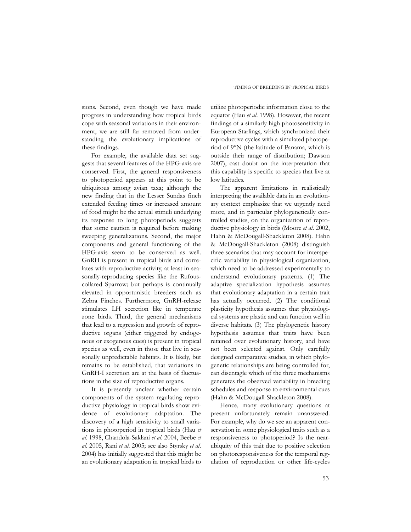sions. Second, even though we have made progress in understanding how tropical birds cope with seasonal variations in their environment, we are still far removed from understanding the evolutionary implications of these findings.

For example, the available data set suggests that several features of the HPG-axis are conserved. First, the general responsiveness to photoperiod appears at this point to be ubiquitous among avian taxa; although the new finding that in the Lesser Sundas finch extended feeding times or increased amount of food might be the actual stimuli underlying its response to long photoperiods suggests that some caution is required before making sweeping generalizations. Second, the major components and general functioning of the HPG-axis seem to be conserved as well. GnRH is present in tropical birds and correlates with reproductive activity, at least in seasonally-reproducing species like the Rufouscollared Sparrow; but perhaps is continually elevated in opportunistic breeders such as Zebra Finches. Furthermore, GnRH-release stimulates LH secretion like in temperate zone birds. Third, the general mechanisms that lead to a regression and growth of reproductive organs (either triggered by endogenous or exogenous cues) is present in tropical species as well, even in those that live in seasonally unpredictable habitats. It is likely, but remains to be established, that variations in GnRH-I secretion are at the basis of fluctuations in the size of reproductive organs.

It is presently unclear whether certain components of the system regulating reproductive physiology in tropical birds show evidence of evolutionary adaptation. The discovery of a high sensitivity to small variations in photoperiod in tropical birds (Hau *et al*. 1998, Chandola-Saklani *et al*. 2004, Beebe *et al*. 2005, Rani *et al*. 2005; see also Styrsky *et al*. 2004) has initially suggested that this might be an evolutionary adaptation in tropical birds to

utilize photoperiodic information close to the equator (Hau *et al*. 1998). However, the recent findings of a similarly high photosensitivity in European Starlings, which synchronized their reproductive cycles with a simulated photoperiod of 9°N (the latitude of Panama, which is outside their range of distribution; Dawson 2007), cast doubt on the interpretation that this capability is specific to species that live at low latitudes.

The apparent limitations in realistically interpreting the available data in an evolutionary context emphasize that we urgently need more, and in particular phylogenetically controlled studies, on the organization of reproductive physiology in birds (Moore *et al*. 2002, Hahn & McDougall-Shackleton 2008). Hahn & McDougall-Shackleton (2008) distinguish three scenarios that may account for interspecific variability in physiological organization, which need to be addressed experimentally to understand evolutionary patterns. (1) The adaptive specialization hypothesis assumes that evolutionary adaptation in a certain trait has actually occurred. (2) The conditional plasticity hypothesis assumes that physiological systems are plastic and can function well in diverse habitats. (3) The phylogenetic history hypothesis assumes that traits have been retained over evolutionary history, and have not been selected against. Only carefully designed comparative studies, in which phylogenetic relationships are being controlled for, can disentagle which of the three mechanisms generates the observed variability in breeding schedules and response to environmental cues (Hahn & McDougall-Shackleton 2008).

Hence, many evolutionary questions at present unfortunately remain unanswered. For example, why do we see an apparent conservation in some physiological traits such as a responsiveness to photoperiod? Is the nearubiquity of this trait due to positive selection on photoresponsiveness for the temporal regulation of reproduction or other life-cycles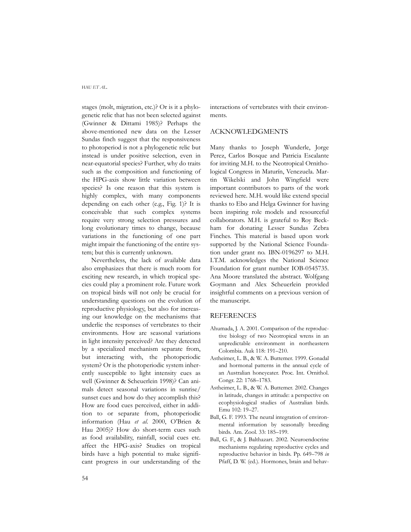stages (molt, migration, etc.)? Or is it a phylogenetic relic that has not been selected against (Gwinner & Dittami 1985)? Perhaps the above-mentioned new data on the Lesser Sundas finch suggest that the responsiveness to photoperiod is not a phylogenetic relic but instead is under positive selection, even in near-equatorial species? Further, why do traits such as the composition and functioning of the HPG-axis show little variation between species? Is one reason that this system is highly complex, with many components depending on each other (e.g., Fig. 1)? It is conceivable that such complex systems require very strong selection pressures and long evolutionary times to change, because variations in the functioning of one part might impair the functioning of the entire system; but this is currently unknown.

Nevertheless, the lack of available data also emphasizes that there is much room for exciting new research, in which tropical species could play a prominent role. Future work on tropical birds will not only be crucial for understanding questions on the evolution of reproductive physiology, but also for increasing our knowledge on the mechanisms that underlie the responses of vertebrates to their environments. How are seasonal variations in light intensity perceived? Are they detected by a specialized mechanism separate from, but interacting with, the photoperiodic system? Or is the photoperiodic system inherently susceptible to light intensity cues as well (Gwinner & Scheuerlein 1998)? Can animals detect seasonal variations in sunrise/ sunset cues and how do they accomplish this? How are food cues perceived, either in addition to or separate from, photoperiodic information (Hau *et al*. 2000, O'Brien & Hau 2005)? How do short-term cues such as food availability, rainfall, social cues etc. affect the HPG-axis? Studies on tropical birds have a high potential to make significant progress in our understanding of the

interactions of vertebrates with their environments.

### ACKNOWLEDGMENTS

Many thanks to Joseph Wunderle, Jorge Perez, Carlos Bosque and Patricia Escalante for inviting M.H. to the Neotropical Ornithological Congress in Maturín, Venezuela. Martin Wikelski and John Wingfield were important contributors to parts of the work reviewed here. M.H. would like extend special thanks to Ebo and Helga Gwinner for having been inspiring role models and resourceful collaborators. M.H. is grateful to Roy Beckham for donating Lesser Sundas Zebra Finches. This material is based upon work supported by the National Science Foundation under grant no. IBN-0196297 to M.H. I.T.M. acknowledges the National Science Foundation for grant number IOB-0545735. Ana Moore translated the abstract. Wolfgang Goymann and Alex Scheuerlein provided insightful comments on a previous version of the manuscript.

### **REFERENCES**

- Ahumada, J. A. 2001. Comparison of the reproductive biology of two Neotropical wrens in an unpredictable environment in northeastern Colombia. Auk 118: 191–210.
- Astheimer, L. B., & W. A. Buttemer. 1999. Gonadal and hormonal patterns in the annual cycle of an Australian honeyeater. Proc. Int. Ornithol. Congr. 22: 1768–1783.
- Astheimer, L. B., & W. A. Buttemer. 2002. Changes in latitude, changes in attitude: a perspective on ecophysiological studies of Australian birds. Emu 102: 19–27.
- Ball, G. F. 1993. The neural integration of environmental information by seasonally breeding birds. Am. Zool. 33: 185–199.
- Ball, G. F., & J. Balthazart. 2002. Neuroendocrine mechanisms regulating reproductive cycles and reproductive behavior in birds. Pp. 649–798 *in* Pfaff, D. W. (ed.). Hormones, brain and behav-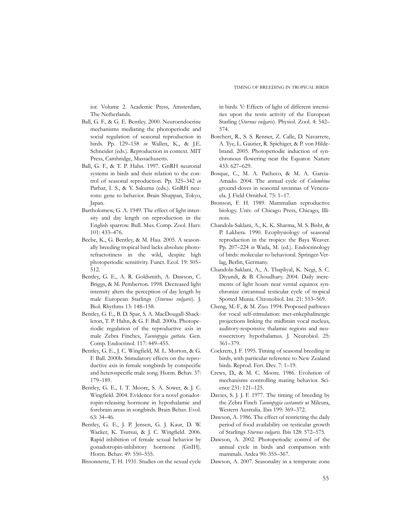ior. Volume 2. Academic Press, Amsterdam, The Netherlands.

- Ball, G. F., & G. E. Bentley. 2000. Neuroendocrine mechanisms mediating the photoperiodic and social regulation of seasonal reproduction in birds. Pp. 129–158 *in* Wallen, K., & J.E. Schneider (eds.). Reproduction in context. MIT Press, Cambridge, Massachusetts.
- Ball, G. F., & T. P. Hahn. 1997. GnRH neuronal systems in birds and their relation to the control of seasonal reproduction. Pp. 325–342 *in* Parhar, I. S., & Y. Sakuma (eds.). GnRH neurons: gene to behavior. Brain Shuppan, Tokyo, Japan.
- Bartholomew, G. A. 1949. The effect of light intensity and day length on reproduction in the English sparrow. Bull. Mus. Comp. Zool. Harv. 101: 433–476.
- Beebe, K., G. Bentley, & M. Hau. 2005. A seasonally breeding tropical bird lacks absolute photorefractoriness in the wild, despite high photoperiodic sensitivity. Funct. Ecol. 19: 505– 512.
- Bentley, G. E., A. R. Goldsmith, A. Dawson, C. Briggs, & M. Pemberton. 1998. Decreased light intensity alters the perception of day length by male European Starlings (*Sturnus vulgaris*). J. Biol. Rhythms 13: 148–158.
- Bentley, G. E., B. D. Spar, S. A. MacDougall-Shackleton, T. P. Hahn, & G. F. Ball. 2000a. Photoperiodic regulation of the reproductive axis in male Zebra Finches, *Taeniopygia guttata*. Gen. Comp. Endocrinol. 117: 449–455.
- Bentley, G. E., J. C. Wingfield, M. L. Morton, & G. F. Ball. 2000b. Stimulatory effects on the reproductive axis in female songbirds by conspecific and heterospecific male song. Horm. Behav. 37: 179–189.
- Bentley, G. E., I. T. Moore, S. A. Sower, & J. C. Wingfield. 2004. Evidence for a novel gonadotropin-releasing hormone in hypothalamic and forebrain areas in songbirds. Brain Behav. Evol. 63: 34–46.
- Bentley, G. E., J. P. Jensen, G. J. Kaur, D. W. Wacker, K. Tsutsui, & J. C. Wingfield. 2006. Rapid inhibition of female sexual behavior by gonadotropin-inhibitory hormone (GnIH). Horm. Behav. 49: 550–555.
- Bissonnette, T. H. 1931. Studies on the sexual cycle

in birds. V: Effects of light of different intensities upon the testis activity of the European Starling (*Sturnus vulgaris*). Physiol. Zool. 4: 542– 574.

- Borchert, R., S. S. Renner, Z. Calle, D. Navarrete, A. Tye, L. Gautier, R. Spichiger, & P. von Hildebrand. 2005. Photoperiodic induction of synchronous flowering near the Equator. Nature 433: 627–629.
- Bosque, C., M. A. Pacheco, & M. A. Garcia-Amado. 2004. The annual cycle of *Columbina* ground-doves in seasonal savannas of Venezuela. J. Field Ornithol. 75: 1–17.
- Bronson, F. H. 1989. Mammalian reproductive biology. Univ. of Chicago Press, Chicago, Illinois.
- Chandola-Saklani, A., K. K. Sharma, M. S. Bisht, & P. Lakhera. 1990. Ecophysiology of seasonal reproduction in the tropics: the Baya Weaver. Pp. 207–224 *in* Wada, M. (ed.). Endocrinology of birds: molecular to behavioral. Springer-Verlag, Berlin, Germany.
- Chandola-Saklani, A., A. Thapliyal, K. Negi, S. C. Diyundi, & B. Choudhary. 2004. Daily increments of light hours near vernal equinox synchronize circannual testicular cycle of tropical Spotted Munia. Chronobiol. Int. 21: 553–569.
- Cheng, M.-F., & M. Zuo. 1994. Proposed pathways for vocal self-stimulation: met-enkephalinergic projections linking the midbrain vocal nucleus, auditory-responsive thalamic regions and neurosecretory hypothalamus. J. Neurobiol. 25: 361–379.
- Cockrem, J. F. 1995. Timing of seasonal breeding in birds, with particular reference to New Zealand birds. Reprod. Fert. Dev. 7: 1–19.
- Crews, D., & M. C. Moore. 1986. Evolution of mechanisms controlling mating behavior. Science 231: 121–125.
- Davies, S. J. J. F. 1977. The timing of breeding by the Zebra Finch *Taeniopygia castanotis* at Mileura, Western Australia. Ibis 199: 369–372.
- Dawson, A. 1986. The effect of restricting the daily period of food availability on testicular growth of Starlings *Sturnus vulgaris*. Ibis 128: 572–575.
- Dawson, A. 2002. Photoperiodic control of the annual cycle in birds and comparison with mammals. Ardea 90: 355–367.
- Dawson, A. 2007. Seasonality in a temperate zone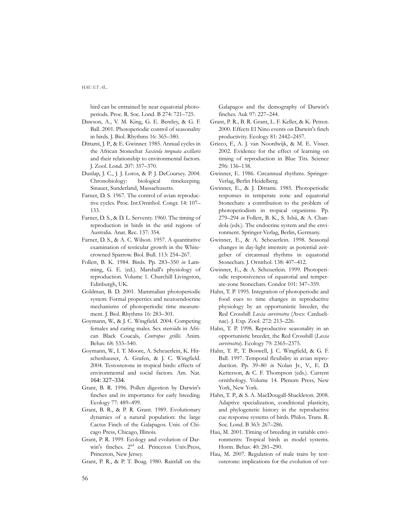bird can be entrained by near equatorial photoperiods. Proc. R. Soc. Lond. B 274: 721–725.

- Dawson, A., V. M. King, G. E. Bentley, & G. F. Ball. 2001. Photoperiodic control of seasonality in birds. J. Biol. Rhythms 16: 365–380.
- Dittami, J. P., & E. Gwinner. 1985. Annual cycles in the African Stonechat *Saxicola torquata axillaris* and their relationship to environmental factors. J. Zool. Lond. 207: 357–370.
- Dunlap, J. C., J. J. Loros, & P. J. DeCoursey. 2004. Chronobiology: biological timekeeping. Sinauer, Sunderland, Massachusetts.
- Farner, D. S. 1967. The control of avian reproductive cycles. Proc. Int.Ornithol. Congr. 14: 107– 133.
- Farner, D. S., & D. L. Serventy. 1960. The timing of reproduction in birds in the arid regions of Australia. Anat. Rec. 137: 354.
- Farner, D. S., & A. C. Wilson. 1957. A quantitative examination of testicular growth in the Whitecrowned Sparrow. Biol. Bull. 113: 254–267.
- Follett, B. K. 1984. Birds. Pp. 283–350 *in* Lamming, G. E. (ed.). Marshall's physiology of reproduction. Volume 1. Churchill Livingston, Edinburgh, UK.
- Goldman, B. D. 2001. Mammalian photoperiodic system: Formal properties and neuroendocrine mechanisms of photoperiodic time measurement. J. Biol. Rhythms 16: 283–301.
- Goymann, W., & J. C. Wingfield. 2004. Competing females and caring males. Sex steroids in African Black Coucals, *Centropus grillii*. Anim. Behav. 68: 533–540.
- Goymann, W., I. T. Moore, A. Scheuerlein, K. Hirschenhauser, A. Grafen, & J. C. Wingfield. 2004. Testosterone in tropical birds: effects of environmental and social factors. Am. Nat. 164: 327–334.
- Grant, B. R. 1996. Pollen digestion by Darwin's finches and its importance for early breeding. Ecology 77: 489–499.
- Grant, B. R., & P. R. Grant. 1989. Evolutionary dynamics of a natural population: the large Cactus Finch of the Galapagos. Univ. of Chicago Press, Chicago, Illinois.
- Grant, P. R. 1999. Ecology and evolution of Darwin's finches. 2nd ed. Princeton Univ.Press, Princeton, New Jersey.
- Grant, P. R., & P. T. Boag. 1980. Rainfall on the

Galapagos and the demography of Darwin's finches. Auk 97: 227–244.

- Grant, P. R., B. R. Grant, L. F. Keller, & K. Petren. 2000. Effects El Nino events on Darwin's finch productivity. Ecology 81: 2442–2457.
- Grieco, F., A. J. van Noordwijk, & M. E. Visser. 2002. Evidence for the effect of learning on timing of reproduction in Blue Tits. Science 296: 136–138.
- Gwinner, E. 1986. Circannual rhythms. Springer-Verlag, Berlin Heidelberg.
- Gwinner, E., & J. Dittami. 1985. Photoperiodic responses in temperate zone and equatorial Stonechats: a contribution to the problem of photoperiodism in tropical organisms. Pp. 279–294 *in* Follett, B. K., S. Ishii, & A. Chandola (eds.). The endocrine system and the environment. Springer-Verlag, Berlin, Germany.
- Gwinner, E., & A. Scheuerlein. 1998. Seasonal changes in day-light intensity as potential zeitgeber of circannual rhythms in equatorial Stonechats. J. Ornithol. 138: 407–412.
- Gwinner, E., & A. Scheuerlein. 1999. Photoperiodic responsiveness of equatorial and temperate-zone Stonechats. Condor 101: 347–359.
- Hahn, T. P. 1995. Integration of photoperiodic and food cues to time changes in reproductive physiology by an opportunistic breeder, the Red Crossbill *Loxia curvirostra* (Aves: Carduelinae). J. Exp. Zool. 272: 213–226.
- Hahn, T. P. 1998. Reproductive seasonality in an opportunistic breeder, the Red Crossbill (*Loxia curvirostra*). Ecology 79: 2365–2375.
- Hahn, T. P., T. Boswell, J. C. Wingfield, & G. F. Ball. 1997. Temporal flexibility in avian reproduction. Pp. 39–80 *in* Nolan Jr., V., E. D. Ketterson, & C. F. Thompson (eds.). Current ornithology. Volume 14. Plenum Press, New York, New York.
- Hahn, T. P., & S. A. MacDougall-Shackleton. 2008. Adaptive specialization, conditional plasticity, and phylogenetic history in the reproductive cue response systems of birds. Philos. Trans. R. Soc. Lond. B 363: 267–286.
- Hau, M. 2001. Timing of breeding in variable environments: Tropical birds as model systems. Horm. Behav. 40: 281–290.
- Hau, M. 2007. Regulation of male traits by testosterone: implications for the evolution of ver-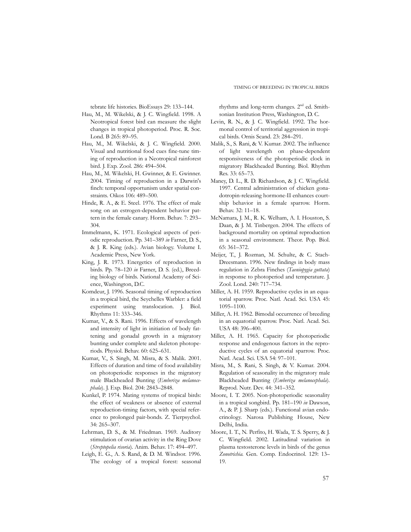tebrate life histories. BioEssays 29: 133–144.

- Hau, M., M. Wikelski, & J. C. Wingfield. 1998. A Neotropical forest bird can measure the slight changes in tropical photoperiod. Proc. R. Soc. Lond. B 265: 89–95.
- Hau, M., M. Wikelski, & J. C. Wingfield. 2000. Visual and nutritional food cues fine-tune timing of reproduction in a Neotropical rainforest bird. J. Exp. Zool. 286: 494–504.
- Hau, M., M. Wikelski, H. Gwinner, & E. Gwinner. 2004. Timing of reproduction in a Darwin's finch: temporal opportunism under spatial constraints. Oikos 106: 489–500.
- Hinde, R. A., & E. Steel. 1976. The effect of male song on an estrogen-dependent behavior pattern in the female canary. Horm. Behav. 7: 293– 304.
- Immelmann, K. 1971. Ecological aspects of periodic reproduction. Pp. 341–389 *in* Farner, D. S., & J. R. King (eds.). Avian biology. Volume I. Academic Press, New York.
- King, J. R. 1973. Energetics of reproduction in birds. Pp. 78–120 *in* Farner, D. S. (ed.), Breeding biology of birds. National Academy of Science, Washington, D.C.
- Komdeur, J. 1996. Seasonal timing of reproduction in a tropical bird, the Seychelles Warbler: a field experiment using translocation. J. Biol. Rhythms 11: 333–346.
- Kumar, V., & S. Rani. 1996. Effects of wavelength and intensity of light in initiation of body fattening and gonadal growth in a migratory bunting under complete and skeleton photoperiods. Physiol. Behav. 60: 625–631.
- Kumar, V., S. Singh, M. Misra, & S. Malik. 2001. Effects of duration and time of food availability on photoperiodic responses in the migratory male Blackheaded Bunting (*Emberiza melanocephala*). J. Exp. Biol. 204: 2843–2848.
- Kunkel, P. 1974. Mating systems of tropical birds: the effect of weakness or absence of external reproduction-timing factors, with special reference to prolonged pair-bonds. Z. Tierpsychol. 34: 265–307.
- Lehrman, D. S., & M. Friedman. 1969. Auditory stimulation of ovarian activity in the Ring Dove (*Streptopelia risoria*). Anim. Behav. 17: 494–497.
- Leigh, E. G., A. S. Rand, & D. M. Windsor. 1996. The ecology of a tropical forest: seasonal

rhythms and long-term changes. 2nd ed. Smithsonian Institution Press, Washington, D. C.

- Levin, R. N., & J. C. Wingfield. 1992. The hormonal control of territorial aggression in tropical birds. Ornis Scand. 23: 284–291.
- Malik, S., S. Rani, & V. Kumar. 2002. The influence of light wavelength on phase-dependent responsiveness of the photoperiodic clock in migratory Blackheaded Bunting. Biol. Rhythm Res. 33: 65–73.
- Maney, D. L., R. D. Richardson, & J. C. Wingfield. 1997. Central administration of chicken gonadotropin-releasing hormone-II enhances courtship behavior in a female sparrow. Horm. Behav. 32: 11–18.
- McNamara, J. M., R. K. Welham, A. I. Houston, S. Daan, & J. M. Tinbergen. 2004. The effects of background mortality on optimal reproduction in a seasonal environment. Theor. Pop. Biol. 65: 361–372.
- Meijer, T., J. Rozman, M. Schulte, & C. Stach-Dreesmann. 1996. New findings in body mass regulation in Zebra Finches (*Taeniopygia guttata*) in response to photoperiod and temperature. J. Zool. Lond. 240: 717–734.
- Miller, A. H. 1959. Reproductive cycles in an equatorial sparrow. Proc. Natl. Acad. Sci. USA 45: 1095–1100.
- Miller, A. H. 1962. Bimodal occurrence of breeding in an equatorial sparrow. Proc. Natl. Acad. Sci. USA 48: 396–400.
- Miller, A. H. 1965. Capacity for photoperiodic response and endogenous factors in the reproductive cycles of an equatorial sparrow. Proc. Natl. Acad. Sci. USA 54: 97–101.
- Misra, M., S. Rani, S. Singh, & V. Kumar. 2004. Regulation of seasonality in the migratory male Blackheaded Bunting (*Emberiza melanocephala*). Reprod. Nutr. Dev. 44: 341–352.
- Moore, I. T. 2005. Non-photoperiodic seasonality in a tropical songbird. Pp. 181–190 *in* Dawson, A., & P. J. Sharp (eds.). Functional avian endocrinology. Narosa Publishing House, New Delhi, India.
- Moore, I. T., N. Perfito, H. Wada, T. S. Sperry, & J. C. Wingfield. 2002. Latitudinal variation in plasma testosterone levels in birds of the genus *Zonotrichia.* Gen. Comp. Endocrinol. 129: 13– 19.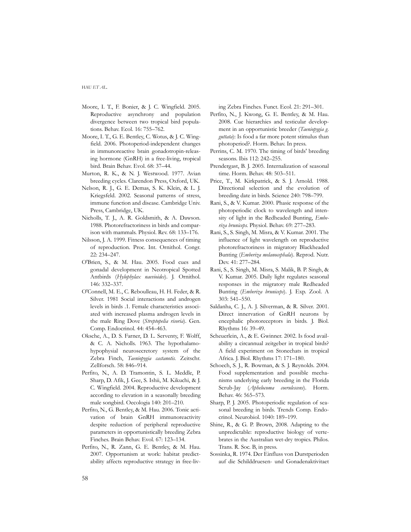- Moore, I. T., F. Bonier, & J. C. Wingfield. 2005. Reproductive asynchrony and population divergence between two tropical bird populations. Behav. Ecol. 16: 755–762.
- Moore, I. T., G. E. Bentley, C. Wotus, & J. C. Wingfield. 2006. Photoperiod-independent changes in immunoreactive brain gonadotropin-releasing hormone (GnRH) in a free-living, tropical bird. Brain Behav. Evol. 68: 37–44.
- Murton, R. K., & N. J. Westwood. 1977. Avian breeding cycles. Clarendon Press, Oxford, UK.
- Nelson, R. J., G. E. Demas, S. K. Klein, & L. J. Kriegsfeld. 2002. Seasonal patterns of stress, immune function and disease. Cambridge Univ. Press, Cambridge, UK.
- Nicholls, T. J., A. R. Goldsmith, & A. Dawson. 1988. Photorefractoriness in birds and comparison with mammals. Physiol. Rev. 68: 133–176.
- Nilsson, J. A. 1999. Fitness consequences of timing of reproduction. Proc. Int. Ornithol. Congr. 22: 234–247.
- O'Brien, S., & M. Hau. 2005. Food cues and gonadal development in Neotropical Spotted Antbirds (*Hylophylax naevioides*). J. Ornithol. 146: 332–337.
- O'Connell, M. E., C. Reboulleau, H. H. Feder, & R. Silver. 1981 Social interactions and androgen levels in birds .1. Female characteristics associated with increased plasma androgen levels in the male Ring Dove (*Streptopelia risoria*). Gen. Comp. Endocrinol. 44: 454–463.
- Oksche, A., D. S. Farner, D. L. Serventy, F. Wolff, & C. A. Nicholls. 1963. The hypothalamohypophysial neurosecretory system of the Zebra Finch, *Taeniopygia castanotis*. Zeitschr. Zellforsch. 58: 846–914.
- Perfito, N., A. D. Tramontin, S. L. Meddle, P. Sharp, D. Afik, J. Gee, S. Ishii, M. Kikuchi, & J. C. Wingfield. 2004. Reproductive development according to elevation in a seasonally breeding male songbird. Oecologia 140: 201–210.
- Perfito, N., G. Bentley, & M. Hau. 2006. Tonic activation of brain GnRH immunoreactivity despite reduction of peripheral reproductive parameters in opportunistically breeding Zebra Finches. Brain Behav. Evol. 67: 123–134.
- Perfito, N., R. Zann, G. E. Bentley, & M. Hau. 2007. Opportunism at work: habitat predictability affects reproductive strategy in free-liv-

ing Zebra Finches. Funct. Ecol. 21: 291–301.

- Perfito, N., J. Kwong, G. E. Bentley, & M. Hau. 2008. Cue hierarchies and testicular development in an opportunistic breeder (*Taeniopygia g. guttata*): Is food a far more potent stimulus than photoperiod?. Horm. Behav. In press.
- Perrins, C. M. 1970. The timing of birds' breeding seasons. Ibis 112: 242–255.
- Prendergast, B. J. 2005. Internalization of seasonal time. Horm. Behav. 48: 503–511.
- Price, T., M. Kirkpatrick, & S. J. Arnold. 1988. Directional selection and the evolution of breeding date in birds. Science 240: 798–799.
- Rani, S., & V. Kumar. 2000. Phasic response of the photoperiodic clock to wavelength and intensity of light in the Redheaded Bunting, *Emberiza bruniceps*. Physiol. Behav. 69: 277–283.
- Rani, S., S. Singh, M. Misra, & V. Kumar. 2001. The influence of light wavelength on reproductive photorefractoriness in migratory Blackheaded Bunting (*Emberiza melanocephala*). Reprod. Nutr. Dev. 41: 277–284.
- Rani, S., S. Singh, M. Misra, S. Malik, B. P. Singh, & V. Kumar. 2005. Daily light regulates seasonal responses in the migratory male Redheaded Bunting (*Emberiza bruniceps*). J. Exp. Zool. A 303: 541–550.
- Saldanha, C. J., A. J. Silverman, & R. Silver. 2001. Direct innervation of GnRH neurons by encephalic photoreceptors in birds. J. Biol. Rhythms 16: 39–49.
- Scheuerlein, A., & E. Gwinner. 2002. Is food availability a circannual zeitgeber in tropical birds? A field experiment on Stonechats in tropical Africa. J. Biol. Rhythms 17: 171–180.
- Schoech, S. J., R. Bowman, & S. J. Reynolds. 2004. Food supplementation and possible mechanisms underlying early breeding in the Florida Scrub-Jay (*Aphelocoma coerulescens*). Horm. Behav. 46: 565–573.
- Sharp, P. J. 2005. Photoperiodic regulation of seasonal breeding in birds. Trends Comp. Endocrinol. Neurobiol. 1040: 189–199.
- Shine, R., & G. P. Brown, 2008. Adapting to the unpredictable: reproductive biology of vertebrates in the Australian wet-dry tropics. Philos. Trans. R. Soc. B, in press.
- Sossinka, R. 1974. Der Einfluss von Durstperioden auf die Schilddruesen- und Gonadenaktivitaet